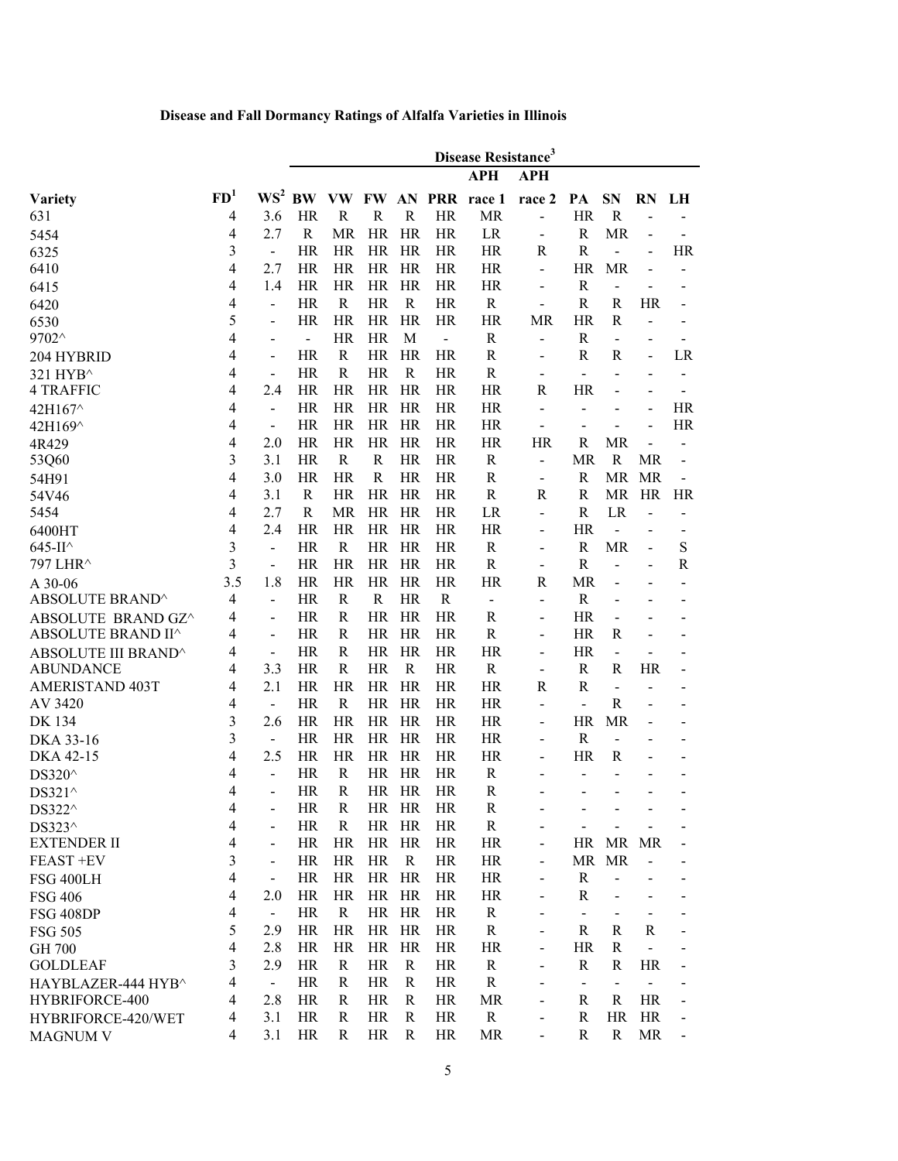## **Disease and Fall Dormancy Ratings of Alfalfa Varieties in Illinois**

|                                      |                 |                                     | Disease Resistance <sup>3</sup> |              |              |                |                |                     |                          |                                         |                                |                |                              |
|--------------------------------------|-----------------|-------------------------------------|---------------------------------|--------------|--------------|----------------|----------------|---------------------|--------------------------|-----------------------------------------|--------------------------------|----------------|------------------------------|
|                                      |                 |                                     |                                 |              |              |                |                | <b>APH</b>          | <b>APH</b>               |                                         |                                |                |                              |
| <b>Variety</b>                       | FD <sup>1</sup> |                                     | $WS^2$ BW                       |              |              |                |                | VW FW AN PRR race 1 | race 2                   | PA                                      | <b>SN</b>                      | <b>RN</b>      | LH                           |
| 631                                  | 4               | 3.6                                 | HR                              | R            | $\mathbb{R}$ | $\mathbb{R}$   | HR             | <b>MR</b>           |                          | HR                                      | $\mathbf R$                    |                |                              |
| 5454                                 | 4               | 2.7                                 | R                               | <b>MR</b>    | HR           | HR             | HR             | LR                  |                          | $\mathbb{R}$                            | <b>MR</b>                      |                |                              |
| 6325                                 | 3               | $\overline{a}$                      | HR                              | <b>HR</b>    | HR           | HR             | HR             | HR                  | R                        | $\mathbb{R}$                            | $\overline{a}$                 |                | HR                           |
| 6410                                 | 4               | 2.7                                 | HR                              | <b>HR</b>    | HR           | HR             | HR             | HR                  |                          | <b>HR</b>                               | <b>MR</b>                      |                |                              |
| 6415                                 | 4               | 1.4                                 | <b>HR</b>                       | <b>HR</b>    | HR           | HR             | <b>HR</b>      | HR                  |                          | $\mathbb{R}$                            | $\overline{a}$                 |                |                              |
| 6420                                 | 4               | $\qquad \qquad \blacksquare$        | <b>HR</b>                       | $\mathbb{R}$ | <b>HR</b>    | $\mathbf R$    | <b>HR</b>      | $\mathbf R$         | $\overline{a}$           | $\mathbf R$                             | R                              | <b>HR</b>      |                              |
| 6530                                 | 5               | -                                   | <b>HR</b>                       | HR           | <b>HR</b>    | <b>HR</b>      | <b>HR</b>      | <b>HR</b>           | <b>MR</b>                | <b>HR</b>                               | R                              |                |                              |
| 9702^                                | 4               | -                                   | $\blacksquare$                  | <b>HR</b>    | <b>HR</b>    | M              | $\overline{a}$ | $\mathbf R$         | L.                       | $\mathbb{R}$                            | $\overline{\phantom{a}}$       |                |                              |
| 204 HYBRID                           | 4               | $\qquad \qquad \blacksquare$        | <b>HR</b>                       | R            | <b>HR</b>    | HR             | <b>HR</b>      | $\mathbf R$         | $\overline{\phantom{a}}$ | $\mathbb{R}$                            | R                              | -              | LR                           |
| 321 HYB <sup>^</sup>                 | 4               | $\overline{\phantom{0}}$            | <b>HR</b>                       | $\mathbb{R}$ | <b>HR</b>    | $\mathbf R$    | <b>HR</b>      | $\mathbf R$         | $\overline{\phantom{0}}$ | $\blacksquare$                          | $\overline{\phantom{0}}$       | $\blacksquare$ | $\overline{\phantom{0}}$     |
| <b>4 TRAFFIC</b>                     | 4               | 2.4                                 | HR                              | <b>HR</b>    | HR           | <b>HR</b>      | HR             | <b>HR</b>           | R                        | <b>HR</b>                               | $\overline{a}$                 |                | $\blacksquare$               |
| 42H167^                              | 4               | $\overline{a}$                      | <b>HR</b>                       | HR           | HR           | HR             | HR             | <b>HR</b>           |                          | $\blacksquare$                          | $\overline{\phantom{0}}$       |                | HR                           |
| 42H169^                              | 4               | $\overline{\phantom{a}}$            | <b>HR</b>                       | HR           | HR           | HR             | HR             | <b>HR</b>           |                          |                                         | $\overline{\phantom{a}}$       | $\overline{a}$ | HR                           |
| 4R429                                | 4               | 2.0                                 | <b>HR</b>                       | <b>HR</b>    | HR           | HR             | <b>HR</b>      | <b>HR</b>           | HR                       | R                                       | <b>MR</b>                      |                |                              |
| 53Q60                                | 3               | 3.1                                 | <b>HR</b>                       | $\mathbb{R}$ | $\mathbf R$  | <b>HR</b>      | <b>HR</b>      | $\mathbf R$         | ÷                        | <b>MR</b>                               | $\mathbb{R}$                   | MR             | $\overline{\phantom{0}}$     |
| 54H91                                | 4               | 3.0                                 | <b>HR</b>                       | <b>HR</b>    | $\mathbf R$  | <b>HR</b>      | <b>HR</b>      | $\mathbb{R}$        | $\overline{\phantom{a}}$ | $\mathbf R$                             | <b>MR</b>                      | MR             | $\qquad \qquad \blacksquare$ |
| 54V46                                | 4               | 3.1                                 | R                               | <b>HR</b>    | <b>HR</b>    | HR             | <b>HR</b>      | $\mathbf R$         | R                        | $\mathbf R$                             | MR                             | HR             | HR                           |
| 5454                                 | 4               | 2.7                                 | R                               | <b>MR</b>    | <b>HR</b>    | <b>HR</b>      | HR             | LR                  | $\overline{\phantom{0}}$ | ${\bf R}$                               | LR                             | -              |                              |
| 6400HT                               | 4               | 2.4                                 | HR                              | <b>HR</b>    | HR.          | HR             | <b>HR</b>      | HR                  |                          | <b>HR</b>                               | $\overline{a}$                 |                |                              |
| 645-II^                              | 3               | $\frac{1}{2}$                       | <b>HR</b>                       | $\mathbf R$  | HR           | HR             | <b>HR</b>      | $\mathbf R$         | $\overline{\phantom{0}}$ | $\mathbf R$                             | <b>MR</b>                      | -              | S                            |
| 797 LHR^                             | 3               | $\overline{\phantom{0}}$            | <b>HR</b>                       | HR           | HR           | <b>HR</b>      | <b>HR</b>      | $\mathbf R$         | $\overline{\phantom{0}}$ | $\mathbf R$                             | $\overline{a}$                 | $\blacksquare$ | $\mathbf R$                  |
| A 30-06                              | 3.5             | 1.8                                 | <b>HR</b>                       | <b>HR</b>    | <b>HR</b>    | <b>HR</b>      | <b>HR</b>      | <b>HR</b>           | R                        | <b>MR</b>                               | $\overline{a}$                 |                |                              |
| ABSOLUTE BRAND^                      | 4               | $\overline{a}$                      | <b>HR</b>                       | $\mathbb{R}$ | $\mathbb{R}$ | <b>HR</b>      | $\mathbf R$    | $\blacksquare$      | $\overline{a}$           | ${\bf R}$                               | $\overline{\phantom{a}}$       |                |                              |
| ABSOLUTE BRAND GZ^                   | 4               | $\overline{a}$                      | <b>HR</b>                       | $\mathbb{R}$ | <b>HR</b>    | HR             | <b>HR</b>      | R                   | $\overline{\phantom{0}}$ | <b>HR</b>                               | $\overline{a}$                 |                |                              |
| ABSOLUTE BRAND II^                   | 4               | $\overline{a}$                      | HR                              | R            | HR           | HR             | HR             | $\mathbf R$         | $\overline{\phantom{0}}$ | <b>HR</b>                               | R                              |                |                              |
| ABSOLUTE III BRAND^                  | 4               | $\overline{\phantom{a}}$            | HR                              | R            | HR           | HR             | HR             | HR                  | $\overline{\phantom{0}}$ | HR                                      | $\overline{a}$                 |                |                              |
| <b>ABUNDANCE</b>                     | 4               | 3.3                                 | HR                              | R            | HR           | R              | HR             | $\mathbf R$         | $\overline{\phantom{a}}$ | R                                       | R                              | HR             | $\overline{a}$               |
| AMERISTAND 403T                      | 4               | 2.1                                 | HR                              | HR           | HR           | HR             | HR             | HR                  | R                        | $\mathbb{R}$                            | $\overline{a}$                 |                | -                            |
| AV 3420                              | 4               | $\overline{\phantom{a}}$            | HR                              | R            | <b>HR</b>    | HR             | HR             | HR                  |                          | $\qquad \qquad \blacksquare$            | R                              |                |                              |
| <b>DK 134</b>                        | 3               | 2.6                                 | <b>HR</b>                       | <b>HR</b>    | <b>HR</b>    | HR             | <b>HR</b>      | <b>HR</b>           |                          | <b>HR</b>                               | <b>MR</b>                      |                |                              |
| DKA 33-16                            | 3               | $\overline{\phantom{m}}$            | <b>HR</b>                       | <b>HR</b>    | <b>HR</b>    | HR             | <b>HR</b>      | <b>HR</b>           |                          | $\mathbb{R}$                            | $\overline{\phantom{a}}$       |                |                              |
| DKA 42-15                            | 4               | 2.5                                 | <b>HR</b>                       | <b>HR</b>    | <b>HR</b>    | HR             | <b>HR</b>      | <b>HR</b>           |                          | <b>HR</b>                               | R                              |                |                              |
| DS320^                               | 4               | $\overline{\phantom{0}}$            | HR                              | R            | HR           | HR             | HR             | R                   |                          | $\qquad \qquad \blacksquare$            | $\overline{a}$                 |                | $\overline{\phantom{0}}$     |
| DS321^                               | 4               | -                                   | <b>HR</b>                       | R            |              | HR HR          | HR             | R                   |                          | -                                       | $\overline{\phantom{0}}$       | $\overline{a}$ | -                            |
| DS322^                               | 4               | -                                   | HR                              | R            |              | HR HR          | <b>HR</b>      | $\mathbf R$         |                          |                                         |                                |                |                              |
| DS323^                               | 4               | -                                   | HR                              | R            | HR           | HR             | HR             | $\mathbf R$         |                          |                                         |                                |                |                              |
| <b>EXTENDER II</b>                   | 4               | $\qquad \qquad \blacksquare$        | <b>HR</b>                       | HR           |              | HR HR          | <b>HR</b>      | HR                  |                          |                                         | HR MR MR                       |                |                              |
| FEAST +EV                            | 3<br>4          | $\overline{\phantom{0}}$            | HR                              | HR           | HR           | $\mathbf R$    | HR             | <b>HR</b>           |                          | MR                                      | <b>MR</b>                      |                |                              |
| <b>FSG 400LH</b>                     | 4               | $\qquad \qquad \blacksquare$<br>2.0 | HR<br>HR                        | HR<br>HR     |              | HR HR<br>HR HR | HR<br>HR       | HR<br>HR            |                          | R<br>$\mathbf R$                        |                                |                |                              |
| <b>FSG 406</b>                       |                 |                                     | HR                              | R            |              | HR HR          | HR             | R                   |                          | $\frac{1}{2}$                           |                                |                |                              |
| <b>FSG 408DP</b>                     | 4<br>5          | $\blacksquare$<br>2.9               | HR                              | HR           |              | HR HR          | HR             | $\mathbf R$         |                          | R                                       | $\overline{\phantom{a}}$<br>R  | R              |                              |
| <b>FSG 505</b>                       |                 |                                     |                                 |              |              |                |                |                     |                          |                                         |                                |                |                              |
| GH 700<br><b>GOLDLEAF</b>            | 4<br>3          | 2.8<br>2.9                          | HR<br>HR                        | HR<br>R      | HR           | HR HR<br>R     | HR<br>HR       | HR<br>R             |                          | HR<br>R                                 | R<br>R                         | <b>HR</b>      |                              |
|                                      | 4               |                                     | HR                              | R            | HR           | R              | HR             | $\mathbf R$         |                          |                                         |                                |                |                              |
| HAYBLAZER-444 HYB^<br>HYBRIFORCE-400 | 4               | $\blacksquare$<br>2.8               | HR                              | R            | HR           | R              | HR             | MR                  | $\overline{\phantom{0}}$ | $\overline{\phantom{a}}$<br>$\mathbf R$ | $\blacksquare$<br>$\mathbb{R}$ | <b>HR</b>      |                              |
| HYBRIFORCE-420/WET                   | 4               | 3.1                                 | HR                              | R            | HR           | R              | HR             | $\mathbf R$         |                          | $\mathbf R$                             | <b>HR</b>                      | <b>HR</b>      |                              |
| <b>MAGNUM V</b>                      | 4               | 3.1                                 | HR                              | R            | HR           | $\mathbf R$    | HR             | MR                  | $\overline{\phantom{0}}$ | $\mathbf R$                             | R                              | MR             |                              |
|                                      |                 |                                     |                                 |              |              |                |                |                     |                          |                                         |                                |                |                              |